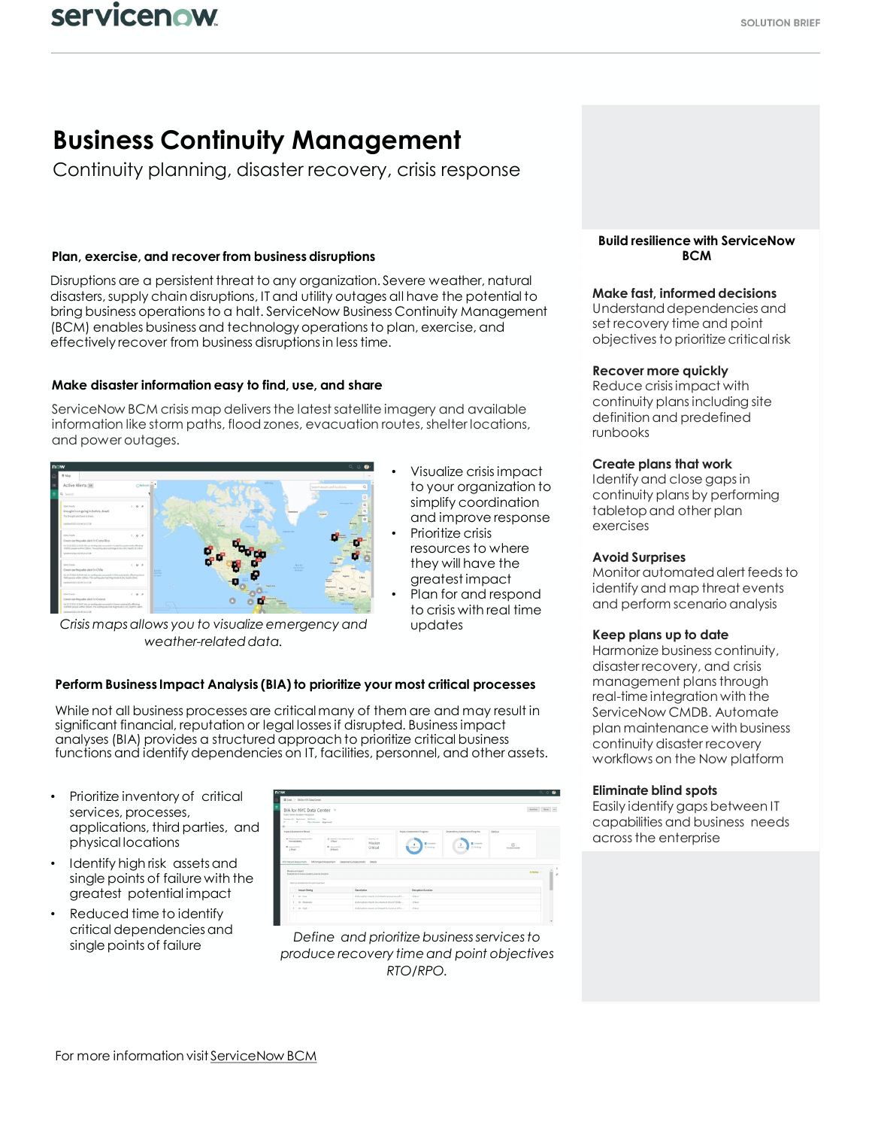# **Business Continuity Management**

Continuity planning, disaster recovery, crisis response

# **Plan, exercise, and recover from business disruptions**

Disruptions are a persistent threat to any organization. Severe weather, natural disasters,supply chain disruptions, IT and utility outages all have the potential to bring business operationsto a halt. ServiceNow Business Continuity Management (BCM) enables businessand technology operationsto plan, exercise, and effectively recover from business disruptionsin less time.

## **Make disaster information easy to find, use, and share**

ServiceNow BCM crisis map deliversthe latest satellite imagery and available information like storm paths, flood zones, evacuation routes, shelter locations, and power outages.



*Crisis maps allows you to visualize emergency and weather-related data.*

- Visualize crisis impact to your organization to simplify coordination and improve response
- Prioritize crisis resources to where they will have the greatest impact
- Plan for and respond to crisis with real time updates

# **Perform Business Impact Analysis (BIA) to prioritize your most critical processes**

While not all business processes are critical many of them are and may result in significant financial, reputation or legal lossesif disrupted. Businessimpact analyses (BIA) provides a structured approach to prioritize critical business functions and identify dependencies on IT, facilities, personnel, and other assets.

- Prioritize inventory of critical services, processes, applications, third parties, and physical locations
- Identify high risk assets and single points of failure with the greatest potential impact
- Reduced time to identify critical dependencies and single points of failure

|                                                                  |                                                                                         |                                                                                |                                                    |                                                    |                                               |                       | $Q_0$<br>$\bullet$ |
|------------------------------------------------------------------|-----------------------------------------------------------------------------------------|--------------------------------------------------------------------------------|----------------------------------------------------|----------------------------------------------------|-----------------------------------------------|-----------------------|--------------------|
|                                                                  | E Um > DANY/VIC Des Center                                                              |                                                                                |                                                    |                                                    |                                               |                       |                    |
|                                                                  | BIA for NYC Data Center %<br>Data Center Analysis Template                              |                                                                                |                                                    |                                                    |                                               |                       | Antive<br>Sme      |
| $\mathcal{L}^{\mathcal{L}}$                                      | hologered Seattest Athent<br><b>COLOR</b><br>IT Olythmann Assroved                      |                                                                                |                                                    |                                                    |                                               |                       |                    |
|                                                                  |                                                                                         |                                                                                |                                                    |                                                    |                                               |                       |                    |
| Impact Assessment Result                                         |                                                                                         |                                                                                |                                                    | Impact Assessment Progress                         | Dependency Assessment Progress                | <b>RASA</b>           |                    |
| Innwoodstely<br><b>O</b> privacing<br>1 Moor                     | de temperature channel pro-                                                             | (8) departy form players are to<br>1 Hour<br><b>D</b> ANALYSIS<br><b>RHOUR</b> | team for<br>Mission<br>Critical                    | <b>E</b> Complete<br>Il restra<br><b>Josephine</b> | Edengton<br><b>T</b> Painting<br><b>SHARK</b> | Œ<br>To determination |                    |
| Reasonatesart                                                    | 833 InpatAssessment #FOnnpatAssessment<br>Control on of www.e publifica below direction | Dependency Assessment                                                          | Details                                            |                                                    |                                               |                       | a besty<br>è       |
|                                                                  | Select an antimaterbizactic wash impact level<br><b>Image Esting</b>                    |                                                                                | <b>Description</b>                                 | Disruption Duration                                |                                               |                       |                    |
|                                                                  | $1 - 00 - 0$ over                                                                       |                                                                                | A disruption results in limited revenue isso of S. | 1100                                               |                                               |                       |                    |
|                                                                  | $1-10$ - Hodester                                                                       |                                                                                | Advertise much in a seven a ten of State           | 1 Hour                                             |                                               |                       |                    |
| Adjusption causes an impact to revenue of \$1<br>$1 - 22 - 1645$ |                                                                                         |                                                                                |                                                    | 1100                                               |                                               |                       |                    |

*Define and prioritize business services to produce recovery time and point objectives RTO/RPO.*

#### **Build resilience with ServiceNow BCM**

## **Make fast, informed decisions**

Understand dependencies and set recovery time and point objectives to prioritize critical risk

#### **Recover more quickly**

Reduce crisis impact with continuity plans including site definition and predefined runbooks

#### **Create plans that work**

Identify and close gaps in continuity plans by performing tabletop and other plan exercises

#### **Avoid Surprises**

Monitor automated alert feeds to identify and map threat events and perform scenario analysis

#### **Keep plans up to date**

Harmonize business continuity, disaster recovery, and crisis management plans through real-time integration with the ServiceNow CMDB. Automate plan maintenance with business continuity disaster recovery workflows on the Now platform

#### **Eliminate blind spots**

Easily identify gaps between IT capabilities and business needs acrossthe enterprise